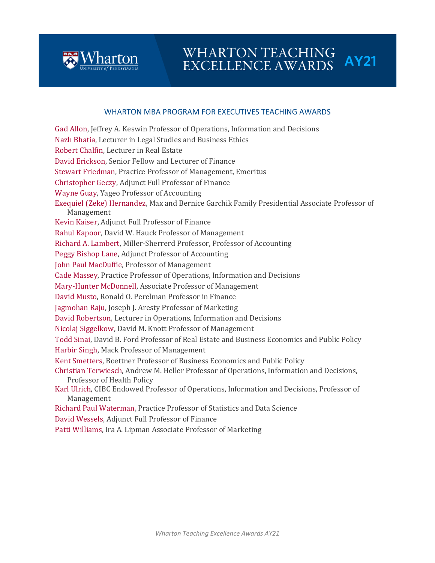

# WHARTON TEACHING<br>EXCELLENCE AWARDS AY21

### WHARTON MBA PROGRAM FOR EXECUTIVES TEACHING AWARDS

Gad Allon, Jeffrey A. Keswin Professor of Operations, Information and Decisions Nazlı Bhatia, Lecturer in Legal Studies and Business Ethics Robert Chalfin, Lecturer in Real Estate David Erickson, Senior Fellow and Lecturer of Finance Stewart Friedman, Practice Professor of Management, Emeritus Christopher Geczy, Adjunct Full Professor of Finance Wayne Guay, Yageo Professor of Accounting Exequiel (Zeke) Hernandez, Max and Bernice Garchik Family Presidential Associate Professor of Management Kevin Kaiser, Adjunct Full Professor of Finance Rahul Kapoor, David W. Hauck Professor of Management Richard A. Lambert, Miller-Sherrerd Professor, Professor of Accounting Peggy Bishop Lane, Adjunct Professor of Accounting John Paul MacDuffie, Professor of Management Cade Massey, Practice Professor of Operations, Information and Decisions Mary-Hunter McDonnell, Associate Professor of Management David Musto, Ronald O. Perelman Professor in Finance Jagmohan Raju, Joseph J. Aresty Professor of Marketing David Robertson, Lecturer in Operations, Information and Decisions Nicolaj Siggelkow, David M. Knott Professor of Management Todd Sinai, David B. Ford Professor of Real Estate and Business Economics and Public Policy Harbir Singh, Mack Professor of Management Kent Smetters, Boettner Professor of Business Economics and Public Policy Christian Terwiesch, Andrew M. Heller Professor of Operations, Information and Decisions, Professor of Health Policy Karl Ulrich, CIBC Endowed Professor of Operations, Information and Decisions, Professor of Management Richard Paul Waterman, Practice Professor of Statistics and Data Science David Wessels, Adjunct Full Professor of Finance

Patti Williams, Ira A. Lipman Associate Professor of Marketing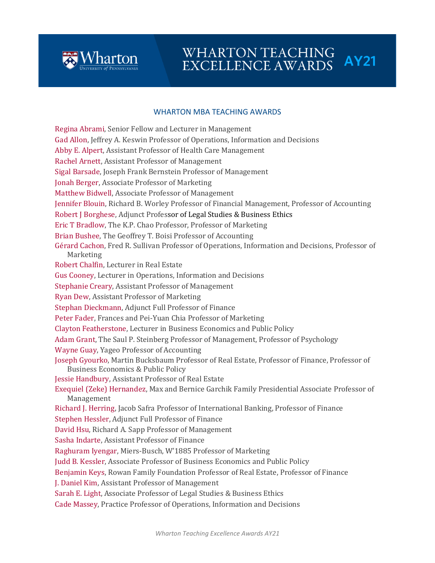

# WHARTON TEACHING<br>EXCELLENCE AWARDS AY21

### WHARTON MBA TEACHING AWARDS

Regina Abrami, Senior Fellow and Lecturer in Management Gad Allon, Jeffrey A. Keswin Professor of Operations, Information and Decisions Abby E. Alpert, Assistant Professor of Health Care Management Rachel Arnett, Assistant Professor of Management Sigal Barsade, Joseph Frank Bernstein Professor of Management Jonah Berger, Associate Professor of Marketing Matthew Bidwell, Associate Professor of Management Jennifer Blouin, Richard B. Worley Professor of Financial Management, Professor of Accounting Robert J Borghese, Adjunct Professor of Legal Studies & Business Ethics Eric T Bradlow, The K.P. Chao Professor, Professor of Marketing Brian Bushee, The Geoffrey T. Boisi Professor of Accounting Gérard Cachon, Fred R. Sullivan Professor of Operations, Information and Decisions, Professor of Marketing Robert Chalfin, Lecturer in Real Estate Gus Cooney, Lecturer in Operations, Information and Decisions Stephanie Creary, Assistant Professor of Management Ryan Dew, Assistant Professor of Marketing Stephan Dieckmann, Adjunct Full Professor of Finance Peter Fader, Frances and Pei-Yuan Chia Professor of Marketing Clayton Featherstone, Lecturer in Business Economics and Public Policy Adam Grant, The Saul P. Steinberg Professor of Management, Professor of Psychology Wayne Guay, Yageo Professor of Accounting Joseph Gyourko, Martin Bucksbaum Professor of Real Estate, Professor of Finance, Professor of Business Economics & Public Policy Jessie Handbury, Assistant Professor of Real Estate Exequiel (Zeke) Hernandez, Max and Bernice Garchik Family Presidential Associate Professor of Management Richard J. Herring, Jacob Safra Professor of International Banking, Professor of Finance Stephen Hessler, Adjunct Full Professor of Finance David Hsu, Richard A. Sapp Professor of Management Sasha Indarte, Assistant Professor of Finance Raghuram Iyengar, Miers-Busch, W'1885 Professor of Marketing Judd B. Kessler, Associate Professor of Business Economics and Public Policy Benjamin Keys, Rowan Family Foundation Professor of Real Estate, Professor of Finance J. Daniel Kim, Assistant Professor of Management Sarah E. Light, Associate Professor of Legal Studies & Business Ethics Cade Massey, Practice Professor of Operations, Information and Decisions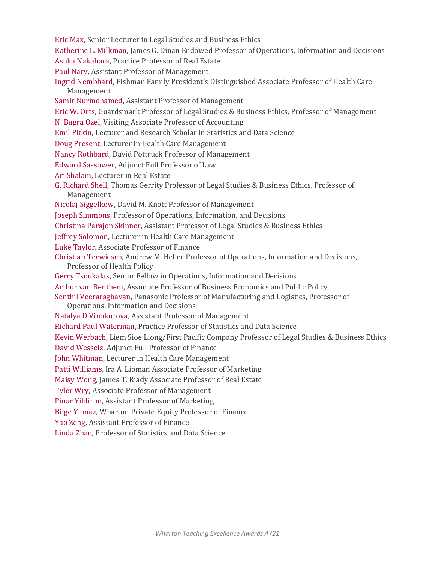- Eric Max, Senior Lecturer in Legal Studies and Business Ethics
- Katherine L. Milkman, James G. Dinan Endowed Professor of Operations, Information and Decisions Asuka Nakahara, Practice Professor of Real Estate
- Paul Nary, Assistant Professor of Management
- Ingrid Nembhard, Fishman Family President's Distinguished Associate Professor of Health Care Management
- Samir Nurmohamed, Assistant Professor of Management

Eric W. Orts, Guardsmark Professor of Legal Studies & Business Ethics, Professor of Management

- N. Bugra Ozel, Visiting Associate Professor of Accounting
- Emil Pitkin, Lecturer and Research Scholar in Statistics and Data Science
- Doug Present, Lecturer in Health Care Management
- Nancy Rothbard, David Pottruck Professor of Management
- Edward Sassower, Adjunct Full Professor of Law
- Ari Shalam, Lecturer in Real Estate
- G. Richard Shell, Thomas Gerrity Professor of Legal Studies & Business Ethics, Professor of Management
- Nicolaj Siggelkow, David M. Knott Professor of Management
- Joseph Simmons, Professor of Operations, Information, and Decisions
- Christina Parajon Skinner, Assistant Professor of Legal Studies & Business Ethics
- Jeffrey Solomon, Lecturer in Health Care Management
- Luke Taylor, Associate Professor of Finance
- Christian Terwiesch, Andrew M. Heller Professor of Operations, Information and Decisions, Professor of Health Policy
- Gerry Tsoukalas, Senior Fellow in Operations, Information and Decisions
- Arthur van Benthem, Associate Professor of Business Economics and Public Policy

Senthil Veeraraghavan, Panasonic Professor of Manufacturing and Logistics, Professor of

- Operations, Information and Decisions
- Natalya D Vinokurova, Assistant Professor of Management
- Richard Paul Waterman, Practice Professor of Statistics and Data Science

Kevin Werbach, Liem Sioe Liong/First Pacific Company Professor of Legal Studies & Business Ethics

- David Wessels, Adjunct Full Professor of Finance
- John Whitman, Lecturer in Health Care Management
- Patti Williams, Ira A. Lipman Associate Professor of Marketing
- Maisy Wong, James T. Riady Associate Professor of Real Estate
- Tyler Wry, Associate Professor of Management
- Pinar Yildirim, Assistant Professor of Marketing
- Bilge Yilmaz, Wharton Private Equity Professor of Finance
- Yao Zeng, Assistant Professor of Finance
- Linda Zhao, Professor of Statistics and Data Science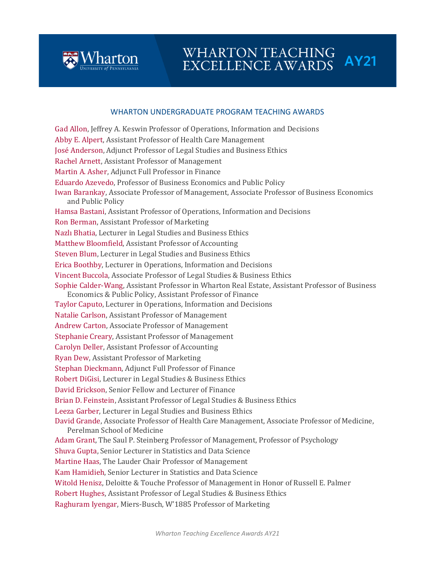

# WHARTON TEACHING<br>EXCELLENCE AWARDS AY21

#### WHARTON UNDERGRADUATE PROGRAM TEACHING AWARDS

Gad Allon, Jeffrey A. Keswin Professor of Operations, Information and Decisions Abby E. Alpert, Assistant Professor of Health Care Management José Anderson, Adjunct Professor of Legal Studies and Business Ethics Rachel Arnett, Assistant Professor of Management Martin A. Asher, Adjunct Full Professor in Finance Eduardo Azevedo, Professor of Business Economics and Public Policy Iwan Barankay, Associate Professor of Management, Associate Professor of Business Economics and Public Policy Hamsa Bastani, Assistant Professor of Operations, Information and Decisions Ron Berman, Assistant Professor of Marketing Nazlı Bhatia, Lecturer in Legal Studies and Business Ethics Matthew Bloomfield, Assistant Professor of Accounting Steven Blum, Lecturer in Legal Studies and Business Ethics Erica Boothby, Lecturer in Operations, Information and Decisions Vincent Buccola, Associate Professor of Legal Studies & Business Ethics Sophie Calder-Wang, Assistant Professor in Wharton Real Estate, Assistant Professor of Business Economics & Public Policy, Assistant Professor of Finance Taylor Caputo, Lecturer in Operations, Information and Decisions Natalie Carlson, Assistant Professor of Management Andrew Carton, Associate Professor of Management Stephanie Creary, Assistant Professor of Management Carolyn Deller, Assistant Professor of Accounting Ryan Dew, Assistant Professor of Marketing Stephan Dieckmann, Adjunct Full Professor of Finance Robert DiGisi, Lecturer in Legal Studies & Business Ethics David Erickson, Senior Fellow and Lecturer of Finance Brian D. Feinstein, Assistant Professor of Legal Studies & Business Ethics Leeza Garber, Lecturer in Legal Studies and Business Ethics David Grande, Associate Professor of Health Care Management, Associate Professor of Medicine, Perelman School of Medicine Adam Grant, The Saul P. Steinberg Professor of Management, Professor of Psychology Shuva Gupta, Senior Lecturer in Statistics and Data Science Martine Haas, The Lauder Chair Professor of Management Kam Hamidieh, Senior Lecturer in Statistics and Data Science Witold Henisz, Deloitte & Touche Professor of Management in Honor of Russell E. Palmer Robert Hughes, Assistant Professor of Legal Studies & Business Ethics Raghuram Iyengar, Miers-Busch, W'1885 Professor of Marketing